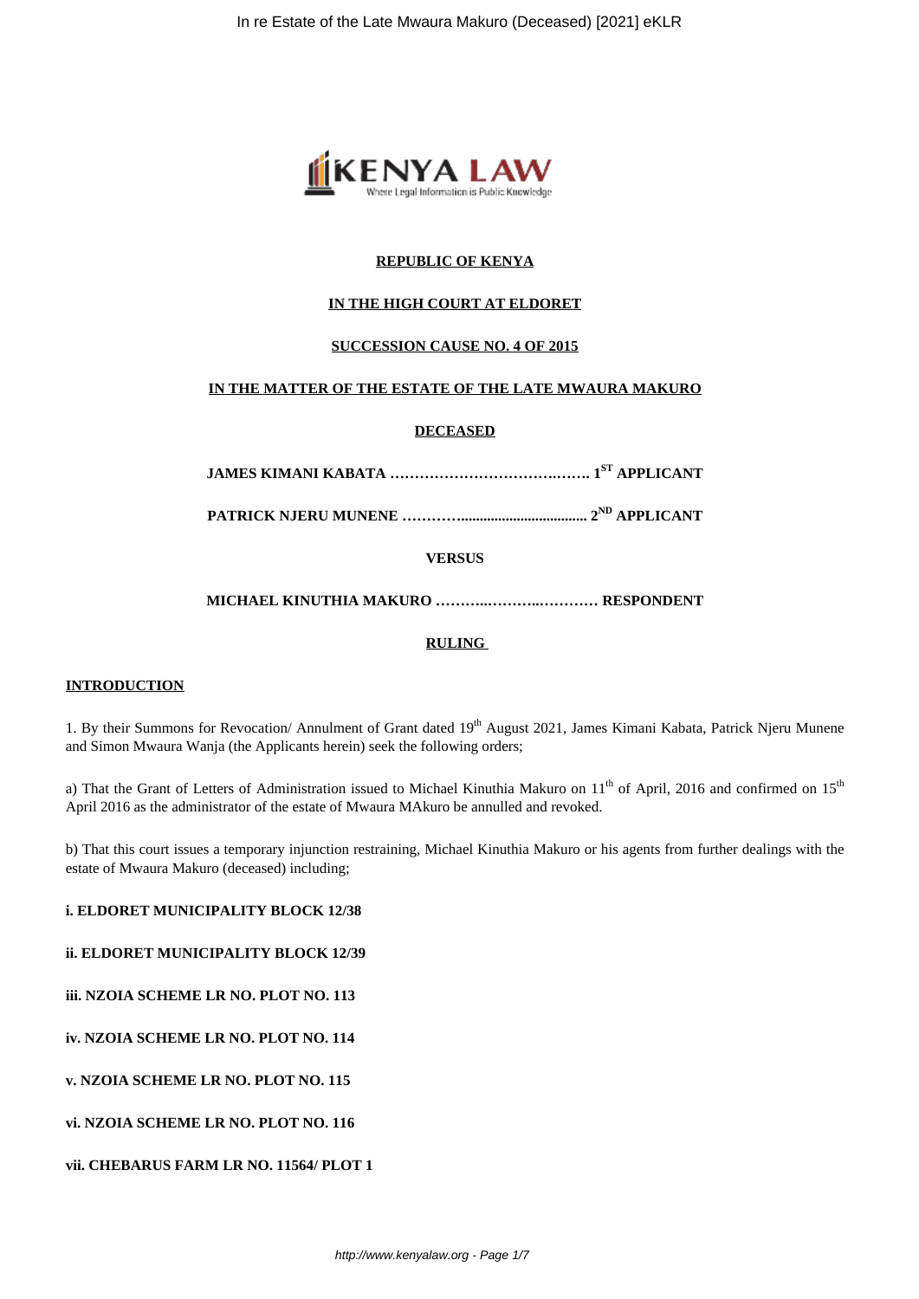

# **REPUBLIC OF KENYA**

# **IN THE HIGH COURT AT ELDORET**

## **SUCCESSION CAUSE NO. 4 OF 2015**

## **IN THE MATTER OF THE ESTATE OF THE LATE MWAURA MAKURO**

## **DECEASED**

**JAMES KIMANI KABATA …………………………….……. 1ST APPLICANT**

**PATRICK NJERU MUNENE ………….................................. 2ND APPLICANT**

**VERSUS**

**MICHAEL KINUTHIA MAKURO ………..………..………… RESPONDENT**

## **RULING**

## **INTRODUCTION**

1. By their Summons for Revocation/ Annulment of Grant dated 19<sup>th</sup> August 2021, James Kimani Kabata, Patrick Njeru Munene and Simon Mwaura Wanja (the Applicants herein) seek the following orders;

a) That the Grant of Letters of Administration issued to Michael Kinuthia Makuro on  $11<sup>th</sup>$  of April, 2016 and confirmed on  $15<sup>th</sup>$ April 2016 as the administrator of the estate of Mwaura MAkuro be annulled and revoked.

b) That this court issues a temporary injunction restraining, Michael Kinuthia Makuro or his agents from further dealings with the estate of Mwaura Makuro (deceased) including;

## **i. ELDORET MUNICIPALITY BLOCK 12/38**

#### **ii. ELDORET MUNICIPALITY BLOCK 12/39**

**iii. NZOIA SCHEME LR NO. PLOT NO. 113**

**iv. NZOIA SCHEME LR NO. PLOT NO. 114**

**v. NZOIA SCHEME LR NO. PLOT NO. 115**

**vi. NZOIA SCHEME LR NO. PLOT NO. 116**

#### **vii. CHEBARUS FARM LR NO. 11564/ PLOT 1**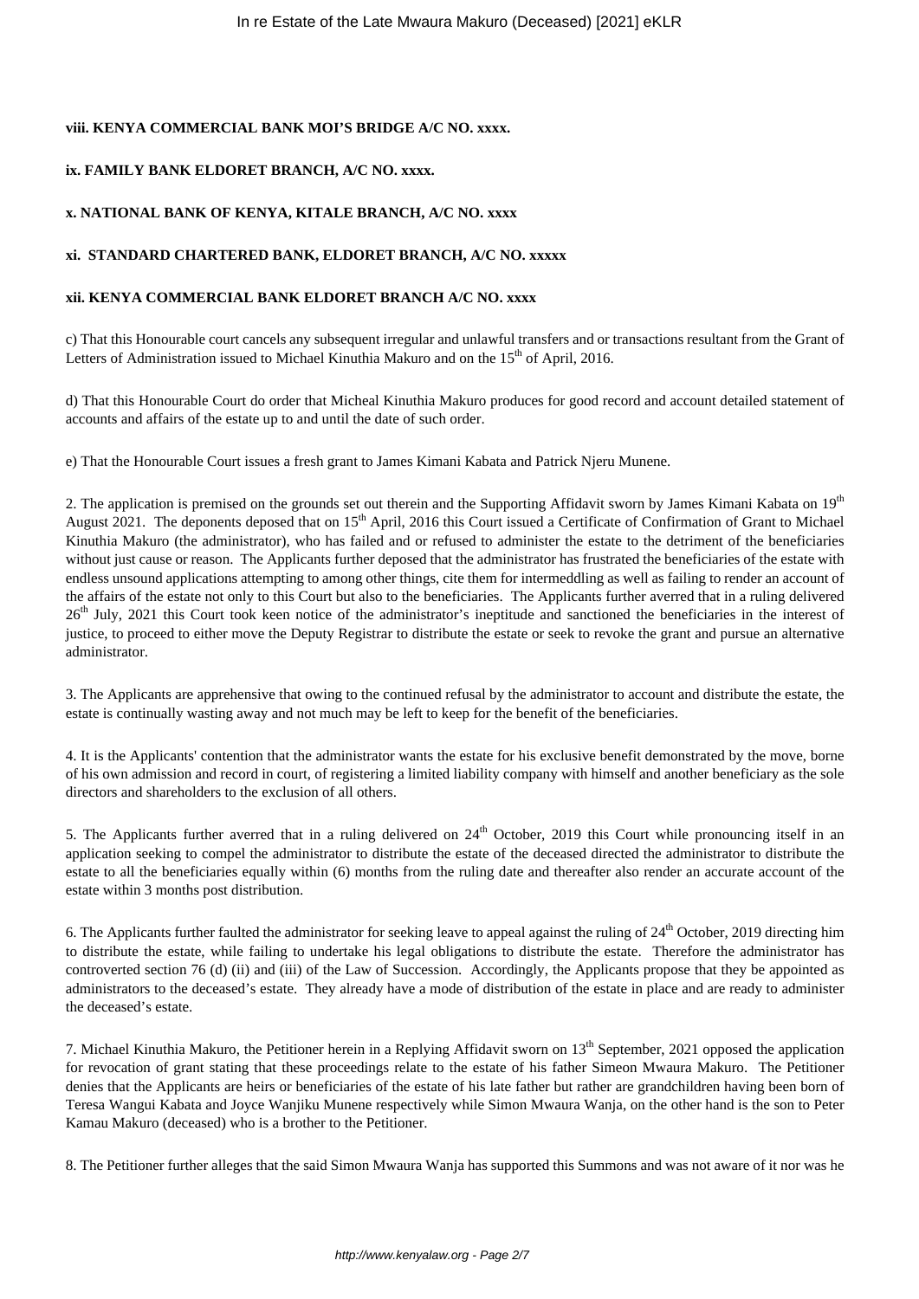# **viii. KENYA COMMERCIAL BANK MOI'S BRIDGE A/C NO. xxxx.**

# **ix. FAMILY BANK ELDORET BRANCH, A/C NO. xxxx.**

# **x. NATIONAL BANK OF KENYA, KITALE BRANCH, A/C NO. xxxx**

## **xi. STANDARD CHARTERED BANK, ELDORET BRANCH, A/C NO. xxxxx**

# **xii. KENYA COMMERCIAL BANK ELDORET BRANCH A/C NO. xxxx**

c) That this Honourable court cancels any subsequent irregular and unlawful transfers and or transactions resultant from the Grant of Letters of Administration issued to Michael Kinuthia Makuro and on the  $15<sup>th</sup>$  of April, 2016.

d) That this Honourable Court do order that Micheal Kinuthia Makuro produces for good record and account detailed statement of accounts and affairs of the estate up to and until the date of such order.

e) That the Honourable Court issues a fresh grant to James Kimani Kabata and Patrick Njeru Munene.

2. The application is premised on the grounds set out therein and the Supporting Affidavit sworn by James Kimani Kabata on 19<sup>th</sup> August 2021. The deponents deposed that on  $15<sup>th</sup>$  April, 2016 this Court issued a Certificate of Confirmation of Grant to Michael Kinuthia Makuro (the administrator), who has failed and or refused to administer the estate to the detriment of the beneficiaries without just cause or reason. The Applicants further deposed that the administrator has frustrated the beneficiaries of the estate with endless unsound applications attempting to among other things, cite them for intermeddling as well as failing to render an account of the affairs of the estate not only to this Court but also to the beneficiaries. The Applicants further averred that in a ruling delivered 26<sup>th</sup> July, 2021 this Court took keen notice of the administrator's ineptitude and sanctioned the beneficiaries in the interest of justice, to proceed to either move the Deputy Registrar to distribute the estate or seek to revoke the grant and pursue an alternative administrator.

3. The Applicants are apprehensive that owing to the continued refusal by the administrator to account and distribute the estate, the estate is continually wasting away and not much may be left to keep for the benefit of the beneficiaries.

4. It is the Applicants' contention that the administrator wants the estate for his exclusive benefit demonstrated by the move, borne of his own admission and record in court, of registering a limited liability company with himself and another beneficiary as the sole directors and shareholders to the exclusion of all others.

5. The Applicants further averred that in a ruling delivered on  $24<sup>th</sup>$  October, 2019 this Court while pronouncing itself in an application seeking to compel the administrator to distribute the estate of the deceased directed the administrator to distribute the estate to all the beneficiaries equally within (6) months from the ruling date and thereafter also render an accurate account of the estate within 3 months post distribution.

6. The Applicants further faulted the administrator for seeking leave to appeal against the ruling of 24<sup>th</sup> October, 2019 directing him to distribute the estate, while failing to undertake his legal obligations to distribute the estate. Therefore the administrator has controverted section 76 (d) (ii) and (iii) of the Law of Succession. Accordingly, the Applicants propose that they be appointed as administrators to the deceased's estate. They already have a mode of distribution of the estate in place and are ready to administer the deceased's estate.

7. Michael Kinuthia Makuro, the Petitioner herein in a Replying Affidavit sworn on  $13<sup>th</sup>$  September, 2021 opposed the application for revocation of grant stating that these proceedings relate to the estate of his father Simeon Mwaura Makuro. The Petitioner denies that the Applicants are heirs or beneficiaries of the estate of his late father but rather are grandchildren having been born of Teresa Wangui Kabata and Joyce Wanjiku Munene respectively while Simon Mwaura Wanja, on the other hand is the son to Peter Kamau Makuro (deceased) who is a brother to the Petitioner.

8. The Petitioner further alleges that the said Simon Mwaura Wanja has supported this Summons and was not aware of it nor was he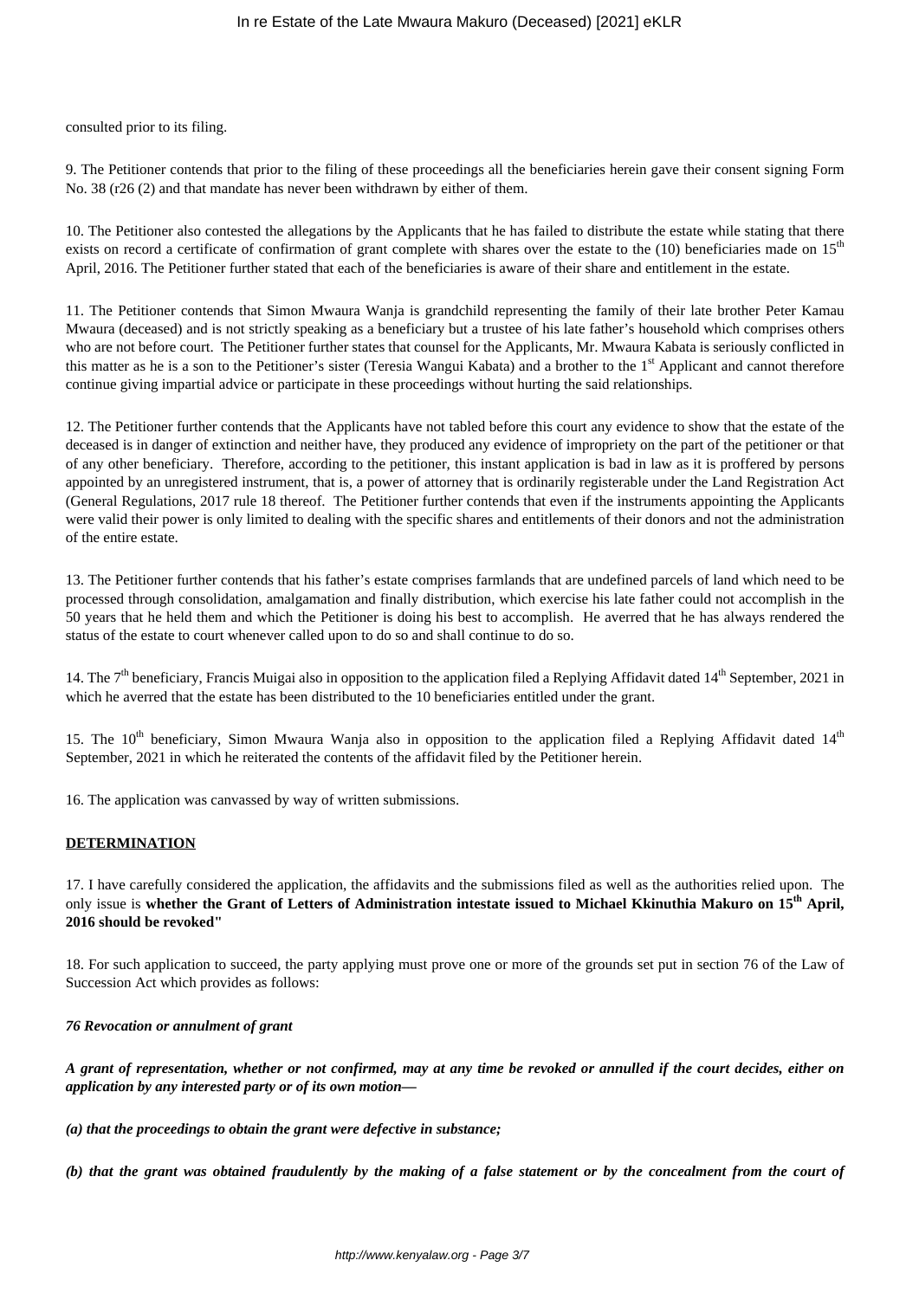consulted prior to its filing.

9. The Petitioner contends that prior to the filing of these proceedings all the beneficiaries herein gave their consent signing Form No. 38 (r26 (2) and that mandate has never been withdrawn by either of them.

10. The Petitioner also contested the allegations by the Applicants that he has failed to distribute the estate while stating that there exists on record a certificate of confirmation of grant complete with shares over the estate to the (10) beneficiaries made on 15<sup>th</sup> April, 2016. The Petitioner further stated that each of the beneficiaries is aware of their share and entitlement in the estate.

11. The Petitioner contends that Simon Mwaura Wanja is grandchild representing the family of their late brother Peter Kamau Mwaura (deceased) and is not strictly speaking as a beneficiary but a trustee of his late father's household which comprises others who are not before court. The Petitioner further states that counsel for the Applicants, Mr. Mwaura Kabata is seriously conflicted in this matter as he is a son to the Petitioner's sister (Teresia Wangui Kabata) and a brother to the 1<sup>st</sup> Applicant and cannot therefore continue giving impartial advice or participate in these proceedings without hurting the said relationships.

12. The Petitioner further contends that the Applicants have not tabled before this court any evidence to show that the estate of the deceased is in danger of extinction and neither have, they produced any evidence of impropriety on the part of the petitioner or that of any other beneficiary. Therefore, according to the petitioner, this instant application is bad in law as it is proffered by persons appointed by an unregistered instrument, that is, a power of attorney that is ordinarily registerable under the Land Registration Act (General Regulations, 2017 rule 18 thereof. The Petitioner further contends that even if the instruments appointing the Applicants were valid their power is only limited to dealing with the specific shares and entitlements of their donors and not the administration of the entire estate.

13. The Petitioner further contends that his father's estate comprises farmlands that are undefined parcels of land which need to be processed through consolidation, amalgamation and finally distribution, which exercise his late father could not accomplish in the 50 years that he held them and which the Petitioner is doing his best to accomplish. He averred that he has always rendered the status of the estate to court whenever called upon to do so and shall continue to do so.

14. The  $7<sup>th</sup>$  beneficiary, Francis Muigai also in opposition to the application filed a Replying Affidavit dated  $14<sup>th</sup>$  September, 2021 in which he averred that the estate has been distributed to the 10 beneficiaries entitled under the grant.

15. The  $10^{th}$  beneficiary, Simon Mwaura Wanja also in opposition to the application filed a Replying Affidavit dated  $14^{th}$ September, 2021 in which he reiterated the contents of the affidavit filed by the Petitioner herein.

16. The application was canvassed by way of written submissions.

## **DETERMINATION**

17. I have carefully considered the application, the affidavits and the submissions filed as well as the authorities relied upon. The only issue is **whether the Grant of Letters of Administration intestate issued to Michael Kkinuthia Makuro on 15th April, 2016 should be revoked"**

18. For such application to succeed, the party applying must prove one or more of the grounds set put in section 76 of the Law of Succession Act which provides as follows:

#### *76 Revocation or annulment of grant*

*A grant of representation, whether or not confirmed, may at any time be revoked or annulled if the court decides, either on application by any interested party or of its own motion—*

*(a) that the proceedings to obtain the grant were defective in substance;*

*(b) that the grant was obtained fraudulently by the making of a false statement or by the concealment from the court of*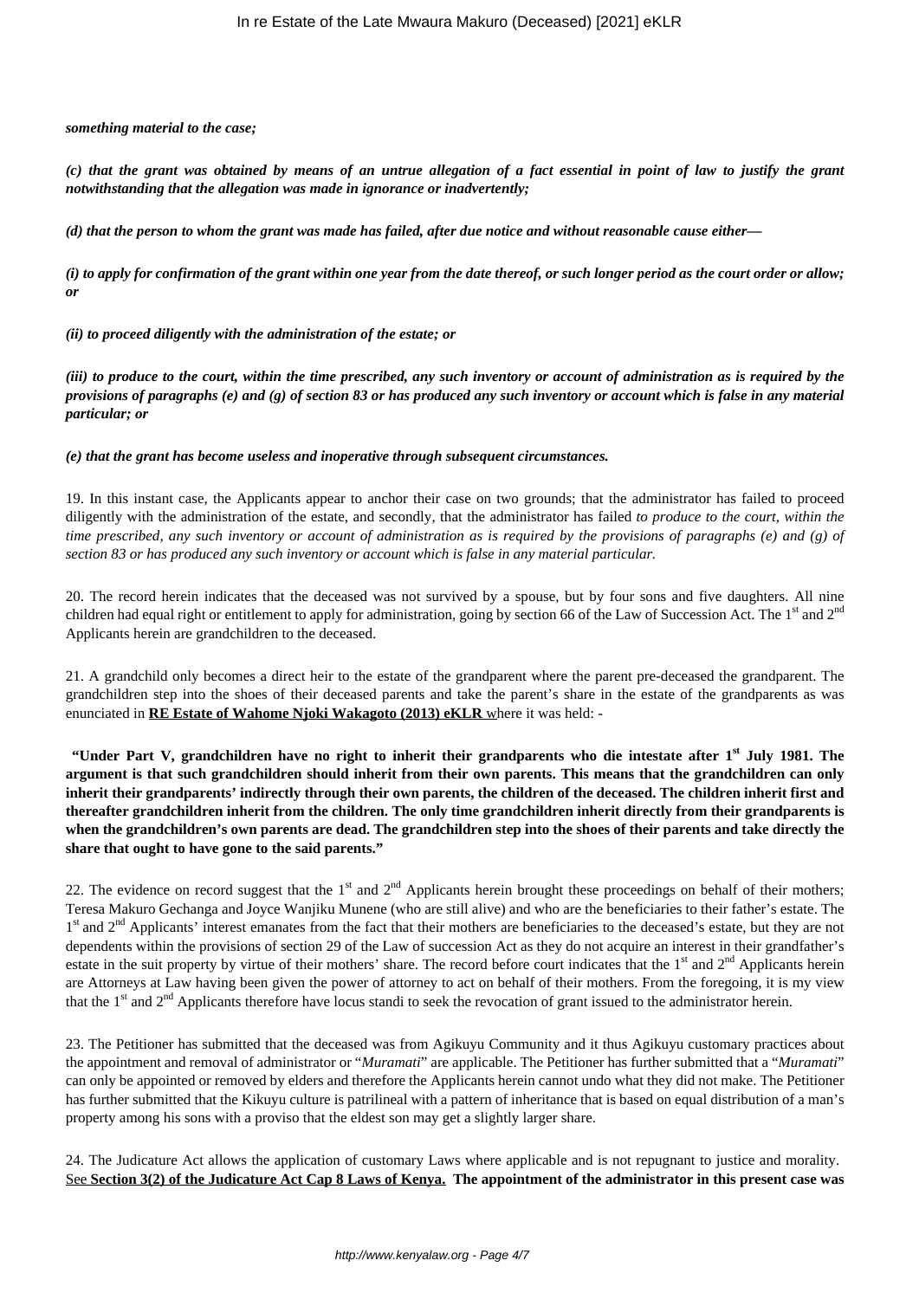#### *something material to the case;*

*(c) that the grant was obtained by means of an untrue allegation of a fact essential in point of law to justify the grant notwithstanding that the allegation was made in ignorance or inadvertently;*

*(d) that the person to whom the grant was made has failed, after due notice and without reasonable cause either—*

*(i) to apply for confirmation of the grant within one year from the date thereof, or such longer period as the court order or allow; or*

*(ii) to proceed diligently with the administration of the estate; or*

*(iii) to produce to the court, within the time prescribed, any such inventory or account of administration as is required by the provisions of paragraphs (e) and (g) of section 83 or has produced any such inventory or account which is false in any material particular; or*

#### *(e) that the grant has become useless and inoperative through subsequent circumstances.*

19. In this instant case, the Applicants appear to anchor their case on two grounds; that the administrator has failed to proceed diligently with the administration of the estate, and secondly, that the administrator has failed *to produce to the court, within the time prescribed, any such inventory or account of administration as is required by the provisions of paragraphs (e) and (g) of section 83 or has produced any such inventory or account which is false in any material particular.*

20. The record herein indicates that the deceased was not survived by a spouse, but by four sons and five daughters. All nine children had equal right or entitlement to apply for administration, going by section 66 of the Law of Succession Act. The  $1<sup>st</sup>$  and  $2<sup>nd</sup>$ Applicants herein are grandchildren to the deceased.

21. A grandchild only becomes a direct heir to the estate of the grandparent where the parent pre-deceased the grandparent. The grandchildren step into the shoes of their deceased parents and take the parent's share in the estate of the grandparents as was enunciated in **RE Estate of Wahome Njoki Wakagoto (2013) eKLR** where it was held: -

**"Under Part V, grandchildren have no right to inherit their grandparents who die intestate after 1st July 1981. The argument is that such grandchildren should inherit from their own parents. This means that the grandchildren can only inherit their grandparents' indirectly through their own parents, the children of the deceased. The children inherit first and thereafter grandchildren inherit from the children. The only time grandchildren inherit directly from their grandparents is when the grandchildren's own parents are dead. The grandchildren step into the shoes of their parents and take directly the share that ought to have gone to the said parents."**

22. The evidence on record suggest that the  $1<sup>st</sup>$  and  $2<sup>nd</sup>$  Applicants herein brought these proceedings on behalf of their mothers; Teresa Makuro Gechanga and Joyce Wanjiku Munene (who are still alive) and who are the beneficiaries to their father's estate. The 1<sup>st</sup> and 2<sup>nd</sup> Applicants' interest emanates from the fact that their mothers are beneficiaries to the deceased's estate, but they are not dependents within the provisions of section 29 of the Law of succession Act as they do not acquire an interest in their grandfather's estate in the suit property by virtue of their mothers' share. The record before court indicates that the 1<sup>st</sup> and 2<sup>nd</sup> Applicants herein are Attorneys at Law having been given the power of attorney to act on behalf of their mothers. From the foregoing, it is my view that the  $1<sup>st</sup>$  and  $2<sup>nd</sup>$  Applicants therefore have locus standi to seek the revocation of grant issued to the administrator herein.

23. The Petitioner has submitted that the deceased was from Agikuyu Community and it thus Agikuyu customary practices about the appointment and removal of administrator or "*Muramati*" are applicable. The Petitioner has further submitted that a "*Muramati*" can only be appointed or removed by elders and therefore the Applicants herein cannot undo what they did not make. The Petitioner has further submitted that the Kikuyu culture is patrilineal with a pattern of inheritance that is based on equal distribution of a man's property among his sons with a proviso that the eldest son may get a slightly larger share.

24. The Judicature Act allows the application of customary Laws where applicable and is not repugnant to justice and morality. See **Section 3(2) of the Judicature Act Cap 8 Laws of Kenya. The appointment of the administrator in this present case was**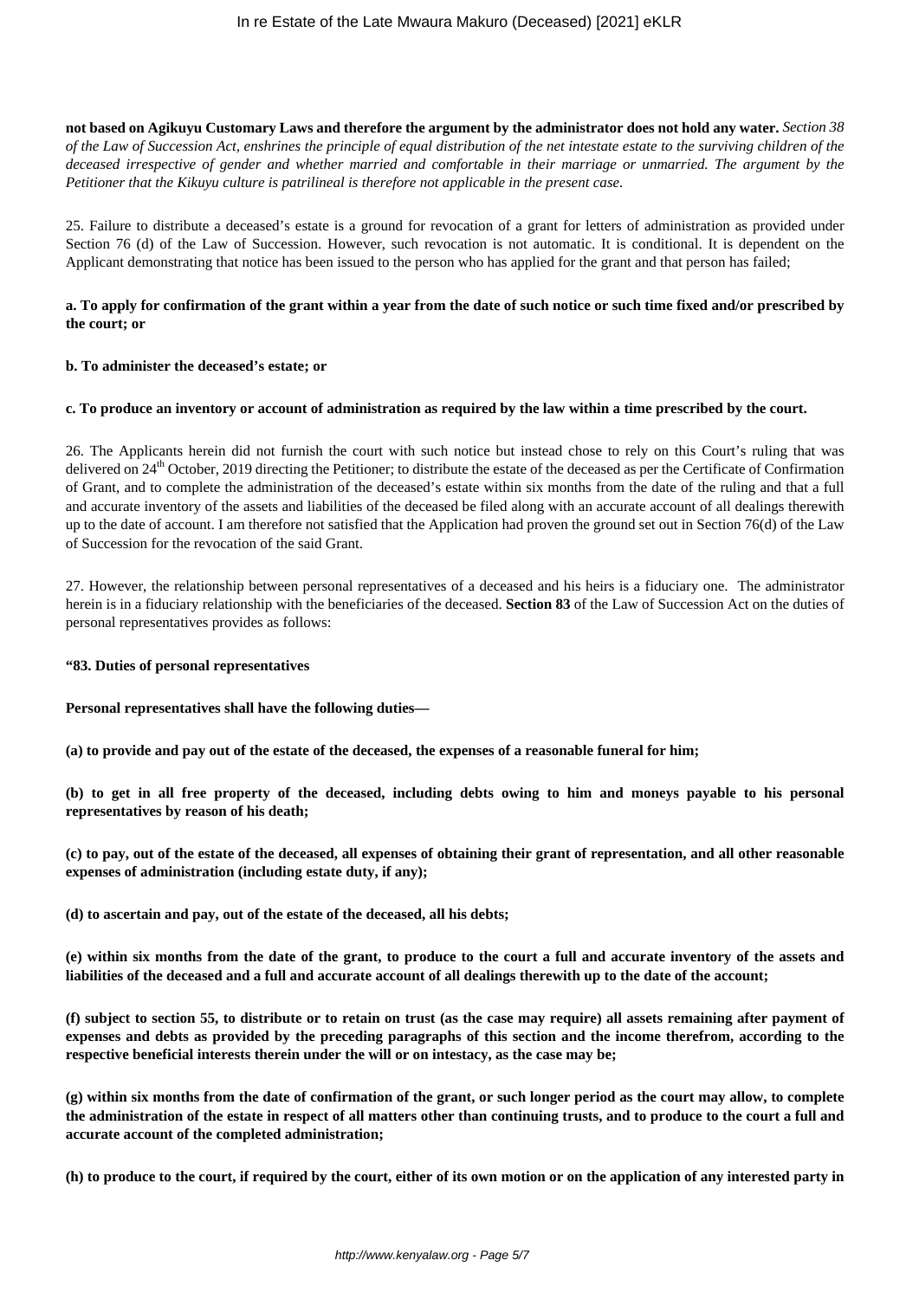**not based on Agikuyu Customary Laws and therefore the argument by the administrator does not hold any water.** *Section 38 of the Law of Succession Act, enshrines the principle of equal distribution of the net intestate estate to the surviving children of the deceased irrespective of gender and whether married and comfortable in their marriage or unmarried. The argument by the Petitioner that the Kikuyu culture is patrilineal is therefore not applicable in the present case.*

25. Failure to distribute a deceased's estate is a ground for revocation of a grant for letters of administration as provided under Section 76 (d) of the Law of Succession. However, such revocation is not automatic. It is conditional. It is dependent on the Applicant demonstrating that notice has been issued to the person who has applied for the grant and that person has failed;

## **a. To apply for confirmation of the grant within a year from the date of such notice or such time fixed and/or prescribed by the court; or**

#### **b. To administer the deceased's estate; or**

#### **c. To produce an inventory or account of administration as required by the law within a time prescribed by the court.**

26. The Applicants herein did not furnish the court with such notice but instead chose to rely on this Court's ruling that was delivered on 24<sup>th</sup> October, 2019 directing the Petitioner; to distribute the estate of the deceased as per the Certificate of Confirmation of Grant, and to complete the administration of the deceased's estate within six months from the date of the ruling and that a full and accurate inventory of the assets and liabilities of the deceased be filed along with an accurate account of all dealings therewith up to the date of account. I am therefore not satisfied that the Application had proven the ground set out in Section 76(d) of the Law of Succession for the revocation of the said Grant.

27. However, the relationship between personal representatives of a deceased and his heirs is a fiduciary one. The administrator herein is in a fiduciary relationship with the beneficiaries of the deceased. **Section 83** of the Law of Succession Act on the duties of personal representatives provides as follows:

#### **"83. Duties of personal representatives**

**Personal representatives shall have the following duties—**

**(a) to provide and pay out of the estate of the deceased, the expenses of a reasonable funeral for him;**

**(b) to get in all free property of the deceased, including debts owing to him and moneys payable to his personal representatives by reason of his death;**

**(c) to pay, out of the estate of the deceased, all expenses of obtaining their grant of representation, and all other reasonable expenses of administration (including estate duty, if any);**

**(d) to ascertain and pay, out of the estate of the deceased, all his debts;**

**(e) within six months from the date of the grant, to produce to the court a full and accurate inventory of the assets and liabilities of the deceased and a full and accurate account of all dealings therewith up to the date of the account;**

**(f) subject to section 55, to distribute or to retain on trust (as the case may require) all assets remaining after payment of expenses and debts as provided by the preceding paragraphs of this section and the income therefrom, according to the respective beneficial interests therein under the will or on intestacy, as the case may be;**

**(g) within six months from the date of confirmation of the grant, or such longer period as the court may allow, to complete the administration of the estate in respect of all matters other than continuing trusts, and to produce to the court a full and accurate account of the completed administration;**

**(h) to produce to the court, if required by the court, either of its own motion or on the application of any interested party in**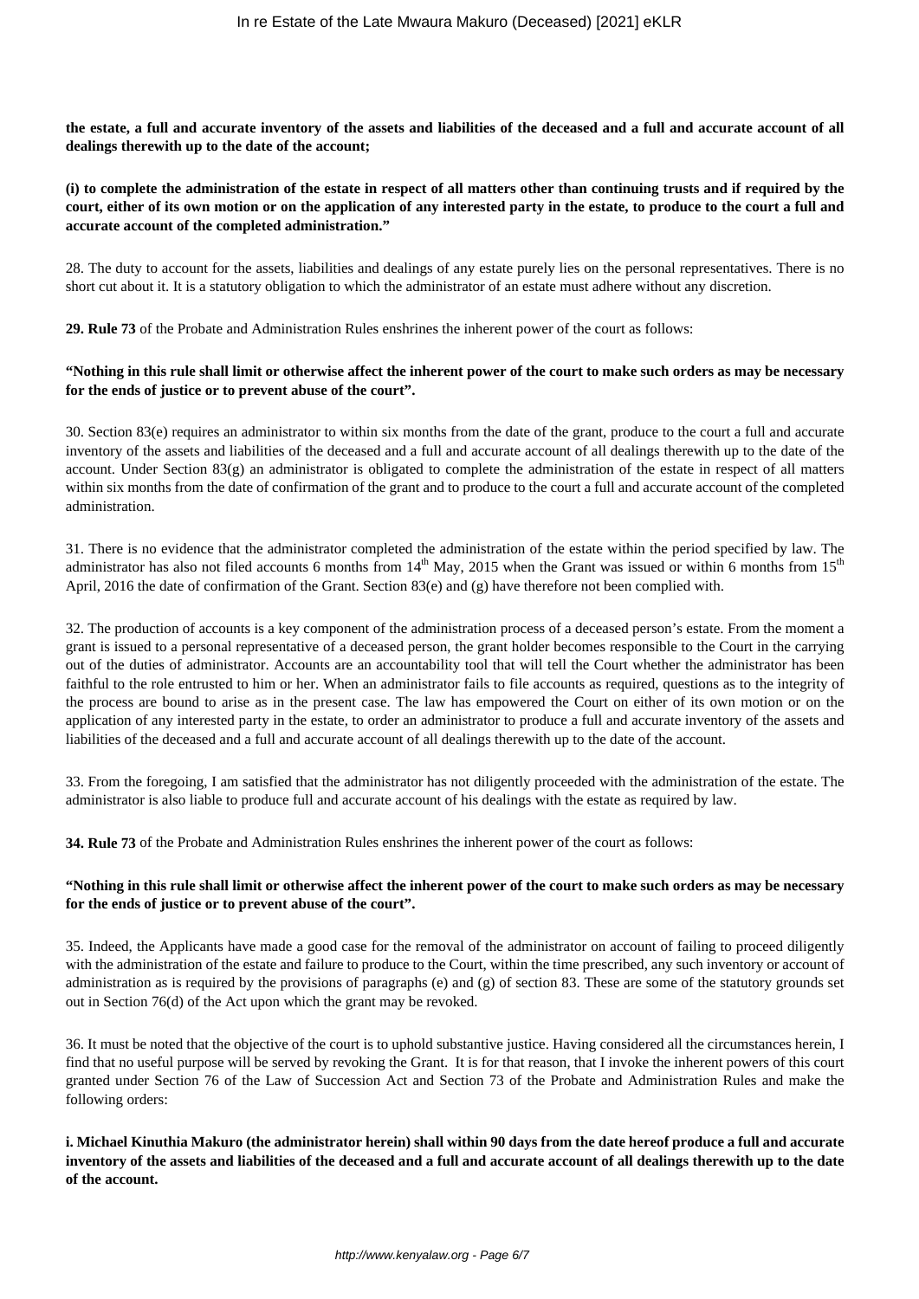**the estate, a full and accurate inventory of the assets and liabilities of the deceased and a full and accurate account of all dealings therewith up to the date of the account;**

## **(i) to complete the administration of the estate in respect of all matters other than continuing trusts and if required by the court, either of its own motion or on the application of any interested party in the estate, to produce to the court a full and accurate account of the completed administration."**

28. The duty to account for the assets, liabilities and dealings of any estate purely lies on the personal representatives. There is no short cut about it. It is a statutory obligation to which the administrator of an estate must adhere without any discretion.

**29. Rule 73** of the Probate and Administration Rules enshrines the inherent power of the court as follows:

## **"Nothing in this rule shall limit or otherwise affect the inherent power of the court to make such orders as may be necessary for the ends of justice or to prevent abuse of the court".**

30. Section 83(e) requires an administrator to within six months from the date of the grant, produce to the court a full and accurate inventory of the assets and liabilities of the deceased and a full and accurate account of all dealings therewith up to the date of the account. Under Section 83(g) an administrator is obligated to complete the administration of the estate in respect of all matters within six months from the date of confirmation of the grant and to produce to the court a full and accurate account of the completed administration.

31. There is no evidence that the administrator completed the administration of the estate within the period specified by law. The administrator has also not filed accounts 6 months from  $14<sup>th</sup>$  May, 2015 when the Grant was issued or within 6 months from  $15<sup>th</sup>$ April, 2016 the date of confirmation of the Grant. Section 83(e) and (g) have therefore not been complied with.

32. The production of accounts is a key component of the administration process of a deceased person's estate. From the moment a grant is issued to a personal representative of a deceased person, the grant holder becomes responsible to the Court in the carrying out of the duties of administrator. Accounts are an accountability tool that will tell the Court whether the administrator has been faithful to the role entrusted to him or her. When an administrator fails to file accounts as required, questions as to the integrity of the process are bound to arise as in the present case. The law has empowered the Court on either of its own motion or on the application of any interested party in the estate, to order an administrator to produce a full and accurate inventory of the assets and liabilities of the deceased and a full and accurate account of all dealings therewith up to the date of the account.

33. From the foregoing, I am satisfied that the administrator has not diligently proceeded with the administration of the estate. The administrator is also liable to produce full and accurate account of his dealings with the estate as required by law.

**34. Rule 73** of the Probate and Administration Rules enshrines the inherent power of the court as follows:

## **"Nothing in this rule shall limit or otherwise affect the inherent power of the court to make such orders as may be necessary for the ends of justice or to prevent abuse of the court".**

35. Indeed, the Applicants have made a good case for the removal of the administrator on account of failing to proceed diligently with the administration of the estate and failure to produce to the Court, within the time prescribed, any such inventory or account of administration as is required by the provisions of paragraphs (e) and  $(g)$  of section 83. These are some of the statutory grounds set out in Section 76(d) of the Act upon which the grant may be revoked.

36. It must be noted that the objective of the court is to uphold substantive justice. Having considered all the circumstances herein, I find that no useful purpose will be served by revoking the Grant. It is for that reason, that I invoke the inherent powers of this court granted under Section 76 of the Law of Succession Act and Section 73 of the Probate and Administration Rules and make the following orders:

**i. Michael Kinuthia Makuro (the administrator herein) shall within 90 days from the date hereof produce a full and accurate inventory of the assets and liabilities of the deceased and a full and accurate account of all dealings therewith up to the date of the account.**